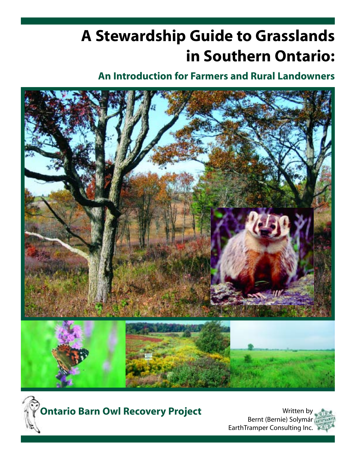# **A Stewardship Guide to Grasslands in Southern Ontario:**

## **An Introduction for Farmers and Rural Landowners**





**Ontario Barn Owl Recovery Project** 

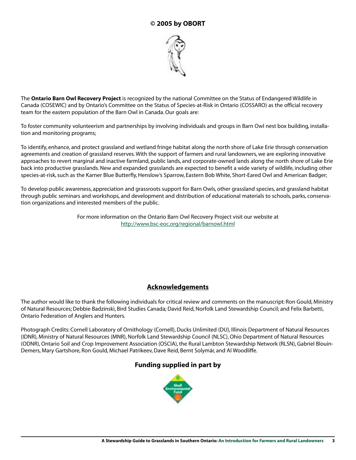## **© 2005 by OBORT**



The **Ontario Barn Owl Recovery Project** is recognized by the national Committee on the Status of Endangered Wildlife in Canada (COSEWIC) and by Ontario's Committee on the Status of Species-at-Risk in Ontario (COSSARO) as the official recovery team for the eastern population of the Barn Owl in Canada. Our goals are:

To foster community volunteerism and partnerships by involving individuals and groups in Barn Owl nest box building, installation and monitoring programs;

To identify, enhance, and protect grassland and wetland fringe habitat along the north shore of Lake Erie through conservation agreements and creation of grassland reserves. With the support of farmers and rural landowners, we are exploring innovative approaches to revert marginal and inactive farmland, public lands, and corporate-owned lands along the north shore of Lake Erie back into productive grasslands. New and expanded grasslands are expected to benefit a wide variety of wildlife, including other species-at-risk, such as the Karner Blue Butterfly, Henslow's Sparrow, Eastern Bob White, Short-Eared Owl and American Badger;

To develop public awareness, appreciation and grassroots support for Barn Owls, other grassland species, and grassland habitat through public seminars and workshops, and development and distribution of educational materials to schools, parks, conservation organizations and interested members of the public.

> For more information on the Ontario Barn Owl Recovery Project visit our website at http://www.bsc-eoc.org/regional/barnowl.html

## **Acknowledgements**

The author would like to thank the following individuals for critical review and comments on the manuscript: Ron Gould, Ministry of Natural Resources; Debbie Badzinski, Bird Studies Canada; David Reid, Norfolk Land Stewardship Council; and Felix Barbetti, Ontario Federation of Anglers and Hunters.

Photograph Credits: Cornell Laboratory of Ornithology (Cornell), Ducks Unlimited (DU), Illinois Department of Natural Resources (IDNR), Ministry of Natural Resources (MNR), Norfolk Land Stewardship Council (NLSC), Ohio Department of Natural Resources (ODNR), Ontario Soil and Crop Improvement Association (OSCIA), the Rural Lambton Stewardship Network (RLSN), Gabriel Blouin-Demers, Mary Gartshore, Ron Gould, Michael Patrikeev, Dave Reid, Bernt Solymár, and Al Woodliffe.

### **Funding supplied in part by**

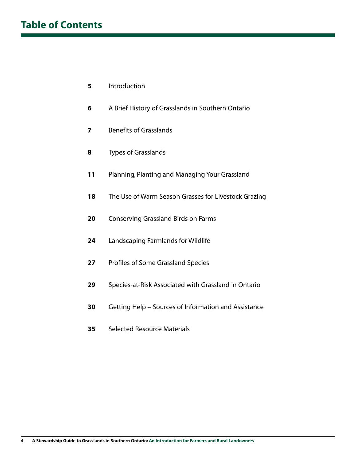## **Table of Contents**

- Introduction
- A Brief History of Grasslands in Southern Ontario
- Benefits of Grasslands
- Types of Grasslands
- Planning, Planting and Managing Your Grassland
- The Use of Warm Season Grasses for Livestock Grazing
- Conserving Grassland Birds on Farms
- Landscaping Farmlands for Wildlife
- Profiles of Some Grassland Species
- Species-at-Risk Associated with Grassland in Ontario
- Getting Help Sources of Information and Assistance
- Selected Resource Materials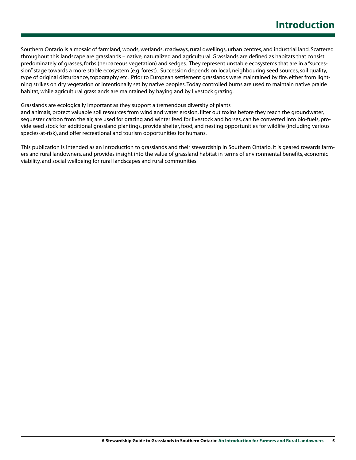Southern Ontario is a mosaic of farmland, woods, wetlands, roadways, rural dwellings, urban centres, and industrial land. Scattered throughout this landscape are grasslands – native, naturalized and agricultural. Grasslands are defined as habitats that consist predominately of grasses, forbs (herbaceous vegetation) and sedges. They represent unstable ecosystems that are in a "succession" stage towards a more stable ecosystem (e.g. forest). Succession depends on local, neighbouring seed sources, soil quality, type of original disturbance, topography etc. Prior to European settlement grasslands were maintained by fire, either from lightning strikes on dry vegetation or intentionally set by native peoples. Today controlled burns are used to maintain native prairie habitat, while agricultural grasslands are maintained by haying and by livestock grazing.

#### Grasslands are ecologically important as they support a tremendous diversity of plants

and animals, protect valuable soil resources from wind and water erosion, filter out toxins before they reach the groundwater, sequester carbon from the air, are used for grazing and winter feed for livestock and horses, can be converted into bio-fuels, provide seed stock for additional grassland plantings, provide shelter, food, and nesting opportunities for wildlife (including various species-at-risk), and offer recreational and tourism opportunities for humans.

This publication is intended as an introduction to grasslands and their stewardship in Southern Ontario. It is geared towards farmers and rural landowners, and provides insight into the value of grassland habitat in terms of environmental benefits, economic viability, and social wellbeing for rural landscapes and rural communities.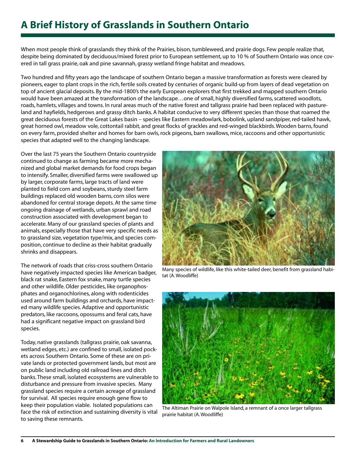## **A Brief History of Grasslands in Southern Ontario**

When most people think of grasslands they think of the Prairies, bison, tumbleweed, and prairie dogs. Few people realize that, despite being dominated by deciduous/mixed forest prior to European settlement, up to 10 % of Southern Ontario was once covered in tall grass prairie, oak and pine savannah, grassy wetland fringe habitat and meadows.

Two hundred and fifty years ago the landscape of southern Ontario began a massive transformation as forests were cleared by pioneers, eager to plant crops in the rich, fertile soils created by centuries of organic build-up from layers of dead vegetation on top of ancient glacial deposits. By the mid-1800's the early European explorers that first trekked and mapped southern Ontario would have been amazed at the transformation of the landscape…one of small, highly diversified farms, scattered woodlots, roads, hamlets, villages and towns. In rural areas much of the native forest and tallgrass prairie had been replaced with pastureland and hayfields, hedgerows and grassy ditch banks. A habitat conducive to very different species than those that roamed the great deciduous forests of the Great Lakes basin – species like Eastern meadowlark, bobolink, upland sandpiper, red-tailed hawk, great horned owl, meadow vole, cottontail rabbit, and great flocks of grackles and red-winged blackbirds. Wooden barns, found on every farm, provided shelter and homes for barn owls, rock pigeons, barn swallows, mice, raccoons and other opportunistic species that adapted well to the changing landscape.

Over the last 75 years the Southern Ontario countryside continued to change as farming became more mechanized and global market demands for food crops began to intensify. Smaller, diversified farms were swallowed up by larger, corporate farms, large tracts of land were planted to field corn and soybeans, sturdy steel farm buildings replaced old wooden barns, corn silos were abandoned for central storage depots. At the same time ongoing drainage of wetlands, urban sprawl and road construction associated with development began to accelerate. Many of our grassland species of plants and animals, especially those that have very specific needs as to grassland size, vegetation type/mix, and species composition, continue to decline as their habitat gradually shrinks and disappears.

The network of roads that criss-cross southern Ontario have negatively impacted species like American badger, black rat snake, Eastern fox snake, many turtle species and other wildlife. Older pesticides, like organophosphates and organochlorines, along with rodenticides used around farm buildings and orchards, have impacted many wildlife species. Adaptive and opportunistic predators, like raccoons, opossums and feral cats, have had a significant negative impact on grassland bird species.

Today, native grasslands (tallgrass prairie, oak savanna, wetland edges, etc.) are confined to small, isolated pockets across Southern Ontario. Some of these are on private lands or protected government lands, but most are on public land including old railroad lines and ditch banks. These small, isolated ecosystems are vulnerable to disturbance and pressure from invasive species. Many grassland species require a certain acreage of grassland for survival. All species require enough gene flow to keep their population viable. Isolated populations can face the risk of extinction and sustaining diversity is vital to saving these remnants.



Many species of wildlife, like this white-tailed deer, benefit from grassland habitat (A. Woodliffe)



The Altiman Prairie on Walpole Island, a remnant of a once larger tallgrass prairie habitat (A. Woodliffe)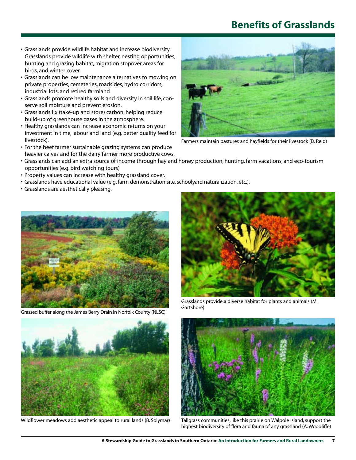## **Benefits of Grasslands**

- Grasslands provide wildlife habitat and increase biodiversity. Grasslands provide wildlife with shelter, nesting opportunities, hunting and grazing habitat, migration stopover areas for birds, and winter cover.
- Grasslands can be low maintenance alternatives to mowing on private properties, cemeteries, roadsides, hydro corridors, industrial lots, and retired farmland
- Grasslands promote healthy soils and diversity in soil life, conserve soil moisture and prevent erosion.
- Grasslands fix (take-up and store) carbon, helping reduce build-up of greenhouse gases in the atmosphere.
- Healthy grasslands can increase economic returns on your investment in time, labour and land (e.g. better quality feed for livestock).
- For the beef farmer sustainable grazing systems can produce heavier calves and for the dairy farmer more productive cows.
- Grasslands can add an extra source of income through hay and honey production, hunting, farm vacations, and eco-tourism opportunities (e.g. bird watching tours)
- Property values can increase with healthy grassland cover.
- Grasslands have educational value (e.g. farm demonstration site, schoolyard naturalization, etc.).
- Grasslands are aesthetically pleasing.



Grassed buffer along the James Berry Drain in Norfolk County (NLSC)



Wildflower meadows add aesthetic appeal to rural lands (B. Solymár)



Farmers maintain pastures and hayfields for their livestock (D. Reid)



Grasslands provide a diverse habitat for plants and animals (M. Gartshore)



Tallgrass communities, like this prairie on Walpole Island, support the highest biodiversity of flora and fauna of any grassland (A. Woodliffe)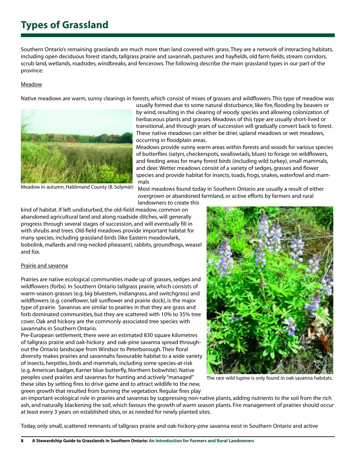## **Types of Grassland**

Southern Ontario's remaining grasslands are much more than land covered with grass. They are a network of interacting habitats, including open deciduous forest stands, tallgrass prairie and savannah, pastures and hayfields, old farm fields, stream corridors, scrub land, wetlands, roadsides, windbreaks, and fencerows. The following describe the main grassland types in our part of the province:

#### Meadow

Native meadows are warm, sunny clearings in forests, which consist of mixes of grasses and wildflowers. This type of meadow was



usually formed due to some natural disturbance, like fire, flooding by beavers or by wind, resulting in the clearing of woody species and allowing colonization of herbaceous plants and grasses. Meadows of this type are usually short-lived or transitional, and through years of succession will gradually convert back to forest. These native meadows can either be drier, upland meadows or wet meadows, occurring in floodplain areas.

Meadows provide sunny warm areas within forests and woods for various species of butterflies (satyrs, checkerspots, swallowtails, blues) to forage on wildflowers, and feeding areas for many forest birds (including wild turkey), small mammals, and deer. Wetter meadows consist of a variety of sedges, grasses and flower species and provide habitat for insects, toads, frogs, snakes, waterfowl and mammals

Meadow in autumn, Haldimand County (B. Solymár)

Most meadows found today in Southern Ontario are usually a result of either overgrown or abandoned farmland, or active efforts by farmers and rural

landowners to create this kind of habitat. If left undisturbed, the old-field meadow, common on abandoned agricultural land and along roadside ditches, will generally progress through several stages of succession, and will eventually fill in with shrubs and trees. Old-field meadows provide important habitat for many species, including grassland birds (like Eastern meadowlark, bobolink, mallards and ring-necked pheasant), rabbits, groundhogs, weasel and fox.

### Prairie and savanna

Prairies are native ecological communities made up of grasses, sedges and wildflowers (forbs). In Southern Ontario tallgrass prairie, which consists of warm-season grasses (e.g. big bluestem, indiangrass, and switchgrass) and wildflowers (e.g. coneflower, tall sunflower and prairie dock), is the major type of prairie. Savannas are similar to prairies in that they are grass and forb dominated communities, but they are scattered with 10% to 35% tree cover. Oak and hickory are the commonly associated tree species with savannahs in Southern Ontario.

Pre-European settlement, there were an estimated 830 square kilometres of tallgrass prairie and oak-hickory and oak-pine savanna spread throughout the Ontario landscape from Windsor to Peterborough. Their floral diversity makes prairies and savannahs favourable habitat to a wide variety of insects, herptiles, birds and mammals, including some species-at-risk (e.g. American badger, Karner blue butterfly, Northern bobwhite). Native peoples used prairies and savannas for hunting and actively "managed" these sites by setting fires to drive game and to attract wildlife to the new, green growth that resulted from burning the vegetation. Regular fires play



The rare wild lupine is only found in oak savanna habitats.

an important ecological role in prairies and savannas by suppressing non-native plants, adding nutrients to the soil from the rich ash, and naturally blackening the soil, which favours the growth of warm season plants. Fire management of prairies should occur at least every 3 years on established sites, or as needed for newly planted sites.

Today, only small, scattered remnants of tallgrass prairie and oak-hickory-pine savanna exist in Southern Ontario and active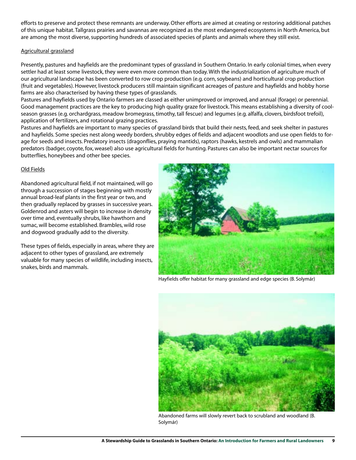efforts to preserve and protect these remnants are underway. Other efforts are aimed at creating or restoring additional patches of this unique habitat. Tallgrass prairies and savannas are recognized as the most endangered ecosystems in North America, but are among the most diverse, supporting hundreds of associated species of plants and animals where they still exist.

### Agricultural grassland

Presently, pastures and hayfields are the predominant types of grassland in Southern Ontario. In early colonial times, when every settler had at least some livestock, they were even more common than today. With the industrialization of agriculture much of our agricultural landscape has been converted to row crop production (e.g. corn, soybeans) and horticultural crop production (fruit and vegetables). However, livestock producers still maintain significant acreages of pasture and hayfields and hobby horse farms are also characterised by having these types of grasslands.

Pastures and hayfields used by Ontario farmers are classed as either unimproved or improved, and annual (forage) or perennial. Good management practices are the key to producing high quality graze for livestock. This means establishing a diversity of coolseason grasses (e.g. orchardgrass, meadow bromegrass, timothy, tall fescue) and legumes (e.g. alfalfa, clovers, birdsfoot trefoil), application of fertilizers, and rotational grazing practices.

Pastures and hayfields are important to many species of grassland birds that build their nests, feed, and seek shelter in pastures and hayfields. Some species nest along weedy borders, shrubby edges of fields and adjacent woodlots and use open fields to forage for seeds and insects. Predatory insects (dragonflies, praying mantids), raptors (hawks, kestrels and owls) and mammalian predators (badger, coyote, fox, weasel) also use agricultural fields for hunting. Pastures can also be important nectar sources for butterflies, honeybees and other bee species.

### Old Fields

Abandoned agricultural field, if not maintained, will go through a succession of stages beginning with mostly annual broad-leaf plants in the first year or two, and then gradually replaced by grasses in successive years. Goldenrod and asters will begin to increase in density over time and, eventually shrubs, like hawthorn and sumac, will become established. Brambles, wild rose and dogwood gradually add to the diversity.

These types of fields, especially in areas, where they are adjacent to other types of grassland, are extremely valuable for many species of wildlife, including insects, snakes, birds and mammals.



Hayfields offer habitat for many grassland and edge species (B. Solymár)



Abandoned farms will slowly revert back to scrubland and woodland (B. Solymár)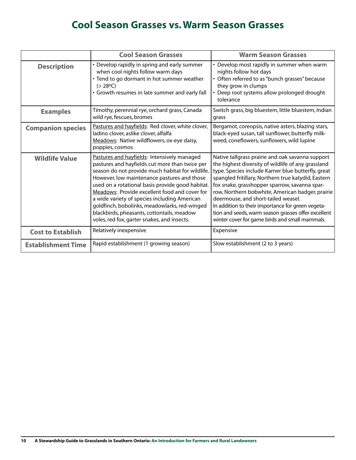## **Cool Season Grasses vs. Warm Season Grasses**

|                           | <b>Cool Season Grasses</b>                                                                                                                                                                                                                                                                                                                                                                                                                                                                          | <b>Warm Season Grasses</b>                                                                                                                                                                                                                                                                                                                                                                                                                                                                                                    |
|---------------------------|-----------------------------------------------------------------------------------------------------------------------------------------------------------------------------------------------------------------------------------------------------------------------------------------------------------------------------------------------------------------------------------------------------------------------------------------------------------------------------------------------------|-------------------------------------------------------------------------------------------------------------------------------------------------------------------------------------------------------------------------------------------------------------------------------------------------------------------------------------------------------------------------------------------------------------------------------------------------------------------------------------------------------------------------------|
| <b>Description</b>        | • Develop rapidly in spring and early summer<br>when cool nights follow warm days<br>• Tend to go dormant in hot summer weather<br>$(> 28^{\circ}C)$<br>• Growth resumes in late summer and early fall                                                                                                                                                                                                                                                                                              | • Develop most rapidly in summer when warm<br>nights follow hot days<br>• Often referred to as "bunch grasses" because<br>they grow in clumps<br>• Deep root systems allow prolonged drought<br>tolerance                                                                                                                                                                                                                                                                                                                     |
| <b>Examples</b>           | Timothy, perennial rye, orchard grass, Canada<br>wild rye, fescues, bromes                                                                                                                                                                                                                                                                                                                                                                                                                          | Switch grass, big bluestem, little bluestem, Indian<br>grass                                                                                                                                                                                                                                                                                                                                                                                                                                                                  |
| <b>Companion species</b>  | Pastures and hayfields: Red clover, white clover,<br>ladino clover, aslike clover, alfalfa<br>Meadows: Native wildflowers, ox-eye daisy,<br>poppies, cosmos                                                                                                                                                                                                                                                                                                                                         | Bergamot, coreopsis, native asters, blazing stars,<br>black-eyed susan, tall sunflower, butterfly milk-<br>weed, coneflowers, sunflowers, wild lupine                                                                                                                                                                                                                                                                                                                                                                         |
| <b>Wildlife Value</b>     | Pastures and hayfields: Intensively managed<br>pastures and hayfields cut more than twice per<br>season do not provide much habitat for wildlife.<br>However, low maintenance pastures and those<br>used on a rotational basis provide good habitat.<br>Meadows: Provide excellent food and cover for<br>a wide variety of species including American<br>goldfinch, bobolinks, meadowlarks, red-winged<br>blackbirds, pheasants, cottontails, meadow<br>voles, red fox, garter snakes, and insects. | Native tallgrass prairie and oak savanna support<br>the highest diversity of wildlife of any grassland<br>type. Species include Karner blue butterfly, great<br>spangled fritillary, Northern true katydid, Eastern<br>fox snake, grasshopper sparrow, savanna spar-<br>row, Northern bobwhite, American badger, prairie<br>deermouse, and short-tailed weasel.<br>In addition to their importance for green vegeta-<br>tion and seeds, warm season grasses offer excellent<br>winter cover for game birds and small mammals. |
| <b>Cost to Establish</b>  | Relatively inexpensive                                                                                                                                                                                                                                                                                                                                                                                                                                                                              | Expensive                                                                                                                                                                                                                                                                                                                                                                                                                                                                                                                     |
| <b>Establishment Time</b> | Rapid establishment (1 growing season)                                                                                                                                                                                                                                                                                                                                                                                                                                                              | Slow establishment (2 to 3 years)                                                                                                                                                                                                                                                                                                                                                                                                                                                                                             |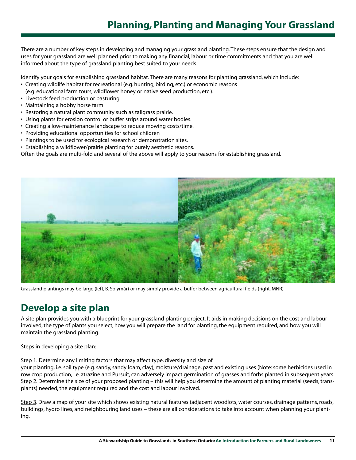## **Planning, Planting and Managing Your Grassland**

There are a number of key steps in developing and managing your grassland planting. These steps ensure that the design and uses for your grassland are well planned prior to making any financial, labour or time commitments and that you are well informed about the type of grassland planting best suited to your needs.

Identify your goals for establishing grassland habitat. There are many reasons for planting grassland, which include:

- Creating wildlife habitat for recreational (e.g. hunting, birding, etc.) or economic reasons
- (e.g. educational farm tours, wildflower honey or native seed production, etc.).
- Livestock feed production or pasturing.
- Maintaining a hobby horse farm
- Restoring a natural plant community such as tallgrass prairie.
- Using plants for erosion control or buffer strips around water bodies.
- Creating a low-maintenance landscape to reduce mowing costs/time.
- Providing educational opportunities for school children
- Plantings to be used for ecological research or demonstration sites.
- Establishing a wildflower/prairie planting for purely aesthetic reasons.

Often the goals are multi-fold and several of the above will apply to your reasons for establishing grassland.



Grassland plantings may be large (left, B. Solymár) or may simply provide a buffer between agricultural fields (right, MNR)

## **Develop a site plan**

A site plan provides you with a blueprint for your grassland planting project. It aids in making decisions on the cost and labour involved, the type of plants you select, how you will prepare the land for planting, the equipment required, and how you will maintain the grassland planting.

Steps in developing a site plan:

Step 1. Determine any limiting factors that may affect type, diversity and size of

your planting, i.e. soil type (e.g. sandy, sandy loam, clay), moisture/drainage, past and existing uses (Note: some herbicides used in row crop production, i.e. atrazine and Pursuit, can adversely impact germination of grasses and forbs planted in subsequent years. Step 2. Determine the size of your proposed planting – this will help you determine the amount of planting material (seeds, transplants) needed, the equipment required and the cost and labour involved.

Step 3. Draw a map of your site which shows existing natural features (adjacent woodlots, water courses, drainage patterns, roads, buildings, hydro lines, and neighbouring land uses – these are all considerations to take into account when planning your planting.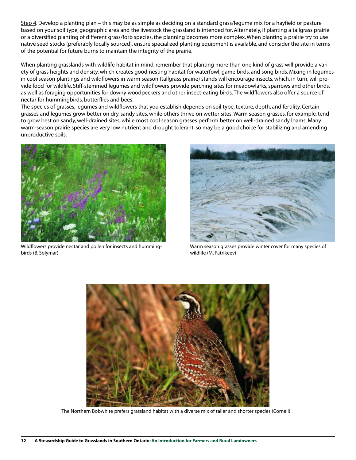Step 4. Develop a planting plan – this may be as simple as deciding on a standard grass/legume mix for a hayfield or pasture based on your soil type, geographic area and the livestock the grassland is intended for. Alternately, if planting a tallgrass prairie or a diversified planting of different grass/forb species, the planning becomes more complex. When planting a prairie try to use native seed stocks (preferably locally sourced), ensure specialized planting equipment is available, and consider the site in terms of the potential for future burns to maintain the integrity of the prairie.

When planting grasslands with wildlife habitat in mind, remember that planting more than one kind of grass will provide a variety of grass heights and density, which creates good nesting habitat for waterfowl, game birds, and song birds. Mixing in legumes in cool season plantings and wildflowers in warm season (tallgrass prairie) stands will encourage insects, which, in turn, will provide food for wildlife. Stiff-stemmed legumes and wildflowers provide perching sites for meadowlarks, sparrows and other birds, as well as foraging opportunities for downy woodpeckers and other insect-eating birds. The wildflowers also offer a source of nectar for hummingbirds, butterflies and bees.

The species of grasses, legumes and wildflowers that you establish depends on soil type, texture, depth, and fertility. Certain grasses and legumes grow better on dry, sandy sites, while others thrive on wetter sites. Warm season grasses, for example, tend to grow best on sandy, well-drained sites, while most cool season grasses perform better on well-drained sandy loams. Many warm-season prairie species are very low nutrient and drought tolerant, so may be a good choice for stabilizing and amending unproductive soils.



Wildflowers provide nectar and pollen for insects and hummingbirds (B. Solymár)



Warm season grasses provide winter cover for many species of wildlife (M. Patrikeev)



The Northern Bobwhite prefers grassland habitat with a diverse mix of taller and shorter species (Cornell)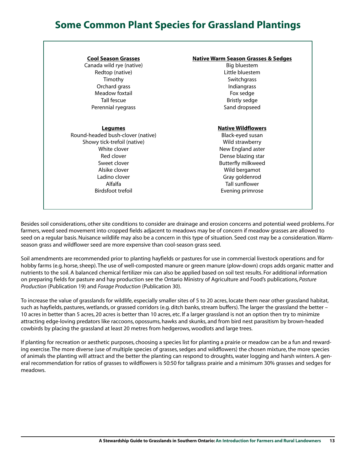## **Some Common Plant Species for Grassland Plantings**

### **Cool Season Grasses**

Canada wild rye (native) Redtop (native) Timothy Orchard grass Meadow foxtail Tall fescue Perennial ryegrass

## **Legumes**

Round-headed bush-clover (native) Showy tick-trefoil (native) White clover Red clover Sweet clover Alsike clover Ladino clover Alfalfa Birdsfoot trefoil

### **Native Warm Season Grasses & Sedges**

Big bluestem Little bluestem **Switchgrass** Indiangrass Fox sedge Bristly sedge Sand dropseed

#### **Native Wildflowers**

Black-eyed susan Wild strawberry New England aster Dense blazing star Butterfly milkweed Wild bergamot Gray goldenrod Tall sunflower Evening primrose

Besides soil considerations, other site conditions to consider are drainage and erosion concerns and potential weed problems. For farmers, weed seed movement into cropped fields adjacent to meadows may be of concern if meadow grasses are allowed to seed on a regular basis. Nuisance wildlife may also be a concern in this type of situation. Seed cost may be a consideration. Warmseason grass and wildflower seed are more expensive than cool-season grass seed.

Soil amendments are recommended prior to planting hayfields or pastures for use in commercial livestock operations and for hobby farms (e.g. horse, sheep). The use of well-composted manure or green manure (plow-down) crops adds organic matter and nutrients to the soil. A balanced chemical fertilizer mix can also be applied based on soil test results. For additional information on preparing fields for pasture and hay production see the Ontario Ministry of Agriculture and Food's publications, *Pasture Production* (Publication 19) and *Forage Production* (Publication 30).

To increase the value of grasslands for wildlife, especially smaller sites of 5 to 20 acres, locate them near other grassland habitat, such as hayfields, pastures, wetlands, or grassed corridors (e.g. ditch banks, stream buffers). The larger the grassland the better – 10 acres in better than 5 acres, 20 acres is better than 10 acres, etc. If a larger grassland is not an option then try to minimize attracting edge-loving predators like raccoons, opossums, hawks and skunks, and from bird nest parasitism by brown-headed cowbirds by placing the grassland at least 20 metres from hedgerows, woodlots and large trees.

If planting for recreation or aesthetic purposes, choosing a species list for planting a prairie or meadow can be a fun and rewarding exercise. The more diverse (use of multiple species of grasses, sedges and wildflowers) the chosen mixture, the more species of animals the planting will attract and the better the planting can respond to droughts, water logging and harsh winters. A general recommendation for ratios of grasses to wildflowers is 50:50 for tallgrass prairie and a minimum 30% grasses and sedges for meadows.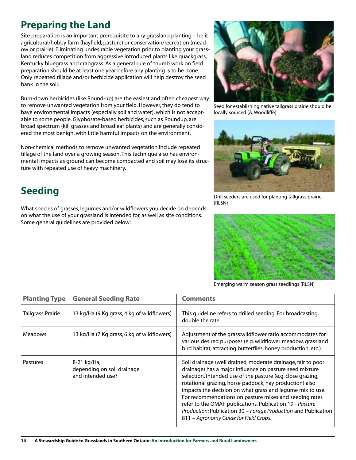## **Preparing the Land**

Site preparation is an important prerequisite to any grassland planting – be it agricultural/hobby farm (hayfield, pasture) or conservation/recreation (meadow or prairie). Eliminating undesirable vegetation prior to planting your grassland reduces competition from aggressive introduced plants like quackgrass, Kentucky bluegrass and crabgrass. As a general rule of thumb work on field preparation should be at least one year before any planting is to be done. Only repeated tillage and/or herbicide application will help destroy the seed bank in the soil.

Burn-down herbicides (like Round-up) are the easiest and often cheapest way to remove unwanted vegetation from your field. However, they do tend to have environmental impacts (especially soil and water), which is not acceptable to some people. Glyphosate-based herbicides, such as Roundup, are broad spectrum (kill grasses and broadleaf plants) and are generally considered the most benign, with little harmful impacts on the environment.

Non-chemical methods to remove unwanted vegetation include repeated tillage of the land over a growing season. This technique also has environmental impacts as ground can become compacted and soil may lose its structure with repeated use of heavy machinery.

## **Seeding**

What species of grasses, legumes and/or wildflowers you decide on depends on what the use of your grassland is intended for, as well as site conditions. Some general guidelines are provided below:



Seed for establishing native tallgrass prairie should be locally sourced (A. Woodliffe)



Drill seeders are used for planting tallgrass prairie (RLSN)



Emerging warm season grass seedlings (RLSN)

| <b>Planting Type</b>     | <b>General Seeding Rate</b>                                    | <b>Comments</b>                                                                                                                                                                                                                                                                                                                                                                                                                                                                                                                                 |
|--------------------------|----------------------------------------------------------------|-------------------------------------------------------------------------------------------------------------------------------------------------------------------------------------------------------------------------------------------------------------------------------------------------------------------------------------------------------------------------------------------------------------------------------------------------------------------------------------------------------------------------------------------------|
| <b>Tallgrass Prairie</b> | 13 kg/Ha (9 Kg grass, 4 kg of wildflowers)                     | This guideline refers to drilled seeding. For broadcasting,<br>double the rate.                                                                                                                                                                                                                                                                                                                                                                                                                                                                 |
| <b>Meadows</b>           | 13 kg/Ha (7 Kg grass, 6 kg of wildflowers)                     | Adjustment of the grass: wildflower ratio accommodates for<br>various desired purposes (e.g. wildflower meadow, grassland<br>bird habitat, attracting butterflies, honey production, etc.)                                                                                                                                                                                                                                                                                                                                                      |
| <b>Pastures</b>          | 8-21 kg/Ha,<br>depending on soil drainage<br>and intended use? | Soil drainage (well drained, moderate drainage, fair to poor<br>drainage) has a major influence on pasture seed mixture<br>selection. Intended use of the pasture (e.g. close grazing,<br>rotational grazing, horse paddock, hay production) also<br>impacts the decision on what grass and legume mix to use.<br>For recommendations on pasture mixes and seeding rates<br>refer to the OMAF publications, Publication 19 - Pasture<br>Production; Publication 30 - Forage Production and Publication<br>811 - Agronomy Guide for Field Crops. |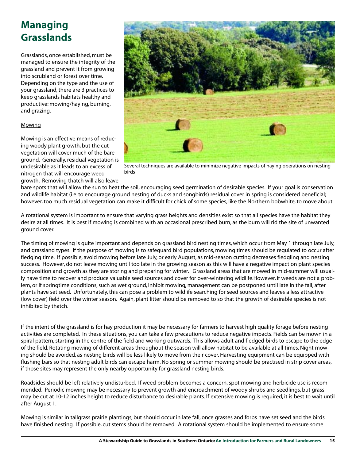## **Managing Grasslands**

Grasslands, once established, must be managed to ensure the integrity of the grassland and prevent it from growing into scrubland or forest over time. Depending on the type and the use of your grassland, there are 3 practices to keep grasslands habitats healthy and productive: mowing/haying, burning, and grazing.

### **Mowing**

Mowing is an effective means of reducing woody plant growth, but the cut vegetation will cover much of the bare ground. Generally, residual vegetation is undesirable as it leads to an excess of nitrogen that will encourage weed growth. Removing thatch will also leave



Several techniques are available to minimize negative impacts of haying operations on nesting birds

bare spots that will allow the sun to heat the soil, encouraging seed germination of desirable species. If your goal is conservation and wildlife habitat (i.e. to encourage ground nesting of ducks and songbirds) residual cover in spring is considered beneficial; however, too much residual vegetation can make it difficult for chick of some species, like the Northern bobwhite, to move about.

A rotational system is important to ensure that varying grass heights and densities exist so that all species have the habitat they desire at all times. It is best if mowing is combined with an occasional prescribed burn, as the burn will rid the site of unwanted ground cover.

The timing of mowing is quite important and depends on grassland bird nesting times, which occur from May 1 through late July, and grassland types. If the purpose of mowing is to safeguard bird populations, mowing times should be regulated to occur after fledging time. If possible, avoid mowing before late July, or early August, as mid-season cutting decreases fledgling and nesting success. However, do not leave mowing until too late in the growing season as this will have a negative impact on plant species composition and growth as they are storing and preparing for winter. Grassland areas that are mowed in mid-summer will usually have time to recover and produce valuable seed sources and cover for over-wintering wildlife.However, if weeds are not a problem, or if springtime conditions, such as wet ground, inhibit mowing, management can be postponed until late in the fall, after plants have set seed. Unfortunately, this can pose a problem to wildlife searching for seed sources and leaves a less attractive (low cover) field over the winter season. Again, plant litter should be removed to so that the growth of desirable species is not inhibited by thatch.

If the intent of the grassland is for hay production it may be necessary for farmers to harvest high quality forage before nesting activities are completed. In these situations, you can take a few precautions to reduce negative impacts. Fields can be mown in a spiral pattern, starting in the centre of the field and working outwards. This allows adult and fledged birds to escape to the edge of the field. Rotating mowing of different areas throughout the season will allow habitat to be available at all times. Night mowing should be avoided, as nesting birds will be less likely to move from their cover. Harvesting equipment can be equipped with flushing bars so that nesting adult birds can escape harm. No spring or summer mowing should be practised in strip cover areas, if those sites may represent the only nearby opportunity for grassland nesting birds.

Roadsides should be left relatively undisturbed. If weed problem becomes a concern, spot mowing and herbicide use is recommended. Periodic mowing may be necessary to prevent growth and encroachment of woody shrubs and seedlings, but grass may be cut at 10-12 inches height to reduce disturbance to desirable plants. If extensive mowing is required, it is best to wait until after August 1.

Mowing is similar in tallgrass prairie plantings, but should occur in late fall, once grasses and forbs have set seed and the birds have finished nesting. If possible, cut stems should be removed. A rotational system should be implemented to ensure some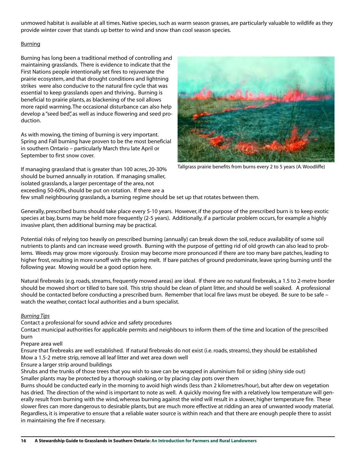unmowed habitat is available at all times. Native species, such as warm season grasses, are particularly valuable to wildlife as they provide winter cover that stands up better to wind and snow than cool season species.

### Burning

Burning has long been a traditional method of controlling and maintaining grasslands. There is evidence to indicate that the First Nations people intentionally set fires to rejuvenate the prairie ecosystem, and that drought conditions and lightning strikes were also conducive to the natural fire cycle that was essential to keep grasslands open and thriving.. Burning is beneficial to prairie plants, as blackening of the soil allows more rapid warming. The occasional disturbance can also help develop a "seed bed", as well as induce flowering and seed production.

As with mowing, the timing of burning is very important. Spring and Fall burning have proven to be the most beneficial in southern Ontario – particularly March thru late April or September to first snow cover.

If managing grassland that is greater than 100 acres, 20-30% should be burned annually in rotation. If managing smaller, isolated grasslands, a larger percentage of the area, not exceeding 50-60%, should be put on rotation. If there are a



Tallgrass prairie benefits from burns every 2 to 5 years (A. Woodliffe)

few small neighbouring grasslands, a burning regime should be set up that rotates between them.

Generally, prescribed burns should take place every 5-10 years. However, if the purpose of the prescribed burn is to keep exotic species at bay, burns may be held more frequently (2-5 years). Additionally, if a particular problem occurs, for example a highly invasive plant, then additional burning may be practical.

Potential risks of relying too heavily on prescribed burning (annually) can break down the soil, reduce availability of some soil nutrients to plants and can increase weed growth. Burning with the purpose of getting rid of old growth can also lead to problems. Weeds may grow more vigorously. Erosion may become more pronounced if there are too many bare patches, leading to higher frost, resulting in more runoff with the spring melt. If bare patches of ground predominate, leave spring burning until the following year. Mowing would be a good option here.

Natural firebreaks (e.g. roads, streams, frequently mowed areas) are ideal. If there are no natural firebreaks, a 1.5 to 2-metre border should be mowed short or tilled to bare soil. This strip should be clean of plant litter, and should be well soaked. A professional should be contacted before conducting a prescribed burn. Remember that local fire laws must be obeyed. Be sure to be safe – watch the weather, contact local authorities and a burn specialist.

### *Burning Tips*

Contact a professional for sound advice and safety procedures

Contact municipal authorities for applicable permits and neighbours to inform them of the time and location of the prescribed burn

Prepare area well

Ensure that firebreaks are well established. If natural firebreaks do not exist (i.e. roads, streams), they should be established Mow a 1.5-2 metre strip, remove all leaf litter and wet area down well

Ensure a larger strip around buildings

Shrubs and the trunks of those trees that you wish to save can be wrapped in aluminium foil or siding (shiny side out) Smaller plants may be protected by a thorough soaking, or by placing clay pots over them

Burns should be conducted early in the morning to avoid high winds (less than 2 kilometres/hour), but after dew on vegetation has dried. The direction of the wind is important to note as well. A quickly moving fire with a relatively low temperature will generally result from burning with the wind, whereas burning against the wind will result in a slower, higher temperature fire. These slower fires can more dangerous to desirable plants, but are much more effective at ridding an area of unwanted woody material. Regardless, it is imperative to ensure that a reliable water source is within reach and that there are enough people there to assist in maintaining the fire if necessary.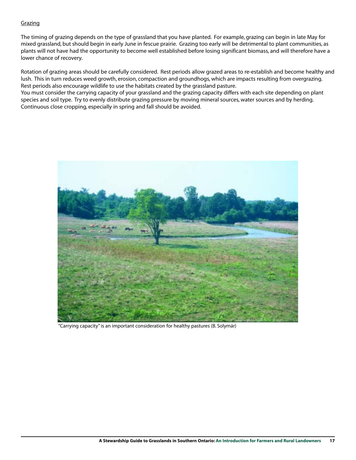### Grazing

The timing of grazing depends on the type of grassland that you have planted. For example, grazing can begin in late May for mixed grassland, but should begin in early June in fescue prairie. Grazing too early will be detrimental to plant communities, as plants will not have had the opportunity to become well established before losing significant biomass, and will therefore have a lower chance of recovery.

Rotation of grazing areas should be carefully considered. Rest periods allow grazed areas to re-establish and become healthy and lush. This in turn reduces weed growth, erosion, compaction and groundhogs, which are impacts resulting from overgrazing. Rest periods also encourage wildlife to use the habitats created by the grassland pasture.

You must consider the carrying capacity of your grassland and the grazing capacity differs with each site depending on plant species and soil type. Try to evenly distribute grazing pressure by moving mineral sources, water sources and by herding. Continuous close cropping, especially in spring and fall should be avoided.



"Carrying capacity" is an important consideration for healthy pastures (B. Solymár)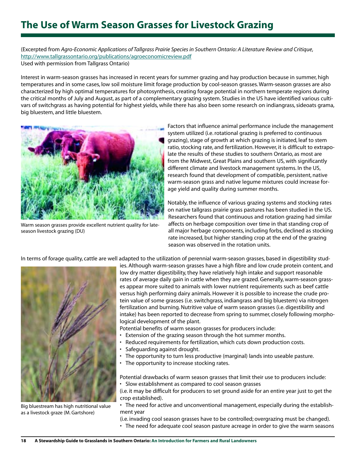## **The Use of Warm Season Grasses for Livestock Grazing**

(Excerpted from *Agro-Economic Applications of Tallgrass Prairie Species in Southern Ontario: A Literature Review and Critique*, http://www.tallgrassontario.org/publications/agroeconomicreview.pdf Used with permission from Tallgrass Ontario)

Interest in warm-season grasses has increased in recent years for summer grazing and hay production because in summer, high temperatures and in some cases, low soil moisture limit forage production by cool-season grasses. Warm-season grasses are also characterized by high optimal temperatures for photosynthesis, creating forage potential in northern temperate regions during the critical months of July and August, as part of a complementary grazing system. Studies in the US have identified various cultivars of switchgrass as having potential for highest yields, while there has also been some research on indiangrass, sideoats grama, big bluestem, and little bluestem.



Warm season grasses provide excellent nutrient quality for lateseason livestock grazing (DU)

Factors that influence animal performance include the management system utilized (i.e. rotational grazing is preferred to continuous grazing), stage of growth at which grazing is initiated, leaf to stem ratio, stocking rate, and fertilization. However, it is difficult to extrapolate the results of these studies to southern Ontario, as most are from the Midwest, Great Plains and southern US, with significantly different climate and livestock management systems. In the US, research found that development of compatible, persistent, native warm-season grass and native legume mixtures could increase forage yield and quality during summer months.

Notably, the influence of various grazing systems and stocking rates on native tallgrass prairie grass pastures has been studied in the US. Researchers found that continuous and rotation grazing had similar affects on herbage composition over time in that standing crop of all major herbage components, including forbs, declined as stocking rate increased, but higher standing crop at the end of the grazing season was observed in the rotation units.

In terms of forage quality, cattle are well adapted to the utilization of perennial warm-season grasses, based in digestibility stud-



Big bluestream has high nutritional value as a livestock graze (M. Gartshore)

ies. Although warm-season grasses have a high fibre and low crude protein content, and low dry matter digestibility, they have relatively high intake and support reasonable rates of average daily gain in cattle when they are grazed. Generally, warm-season grasses appear more suited to animals with lower nutrient requirements such as beef cattle versus high performing dairy animals. However it is possible to increase the crude protein value of some grasses (i.e. switchgrass, indiangrass and big bluestem) via nitrogen fertilization and burning. Nutritive value of warm season grasses (i.e. digestibility and intake) has been reported to decrease from spring to summer, closely following morphological development of the plant.

Potential benefits of warm season grasses for producers include:

- Extension of the grazing season through the hot summer months.
- Reduced requirements for fertilization, which cuts down production costs.
- Safeguarding against drought.
- The opportunity to turn less productive (marginal) lands into useable pasture.
- The opportunity to increase stocking rates.

Potential drawbacks of warm season grasses that limit their use to producers include: • Slow establishment as compared to cool season grasses

(i.e. it may be difficult for producers to set ground aside for an entire year just to get the crop established).

• The need for active and unconventional management, especially during the establishment year

(i.e. invading cool season grasses have to be controlled; overgrazing must be changed).

• The need for adequate cool season pasture acreage in order to give the warm seasons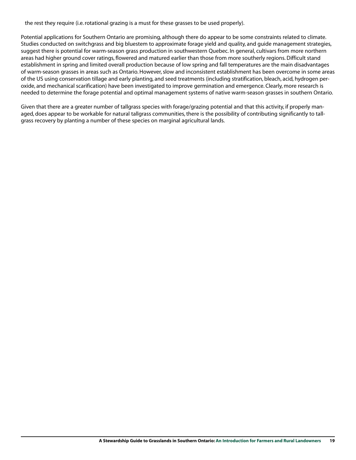the rest they require (i.e. rotational grazing is a must for these grasses to be used properly).

Potential applications for Southern Ontario are promising, although there do appear to be some constraints related to climate. Studies conducted on switchgrass and big bluestem to approximate forage yield and quality, and guide management strategies, suggest there is potential for warm-season grass production in southwestern Quebec. In general, cultivars from more northern areas had higher ground cover ratings, flowered and matured earlier than those from more southerly regions. Difficult stand establishment in spring and limited overall production because of low spring and fall temperatures are the main disadvantages of warm-season grasses in areas such as Ontario. However, slow and inconsistent establishment has been overcome in some areas of the US using conservation tillage and early planting, and seed treatments (including stratification, bleach, acid, hydrogen peroxide, and mechanical scarification) have been investigated to improve germination and emergence. Clearly, more research is needed to determine the forage potential and optimal management systems of native warm-season grasses in southern Ontario.

Given that there are a greater number of tallgrass species with forage/grazing potential and that this activity, if properly managed, does appear to be workable for natural tallgrass communities, there is the possibility of contributing significantly to tallgrass recovery by planting a number of these species on marginal agricultural lands.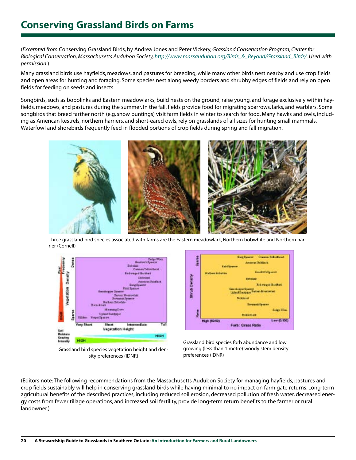## **Conserving Grassland Birds on Farms**

(*Excerpted from* Conserving Grassland Birds, by Andrea Jones and Peter Vickery, *Grassland Conservation Program, Center for Biological Conservation, Massachusetts Audubon Society, http://www.massaudubon.org/Birds\_&\_Beyond/Grassland\_Birds/*. *Used with permission*.)

Many grassland birds use hayfields, meadows, and pastures for breeding, while many other birds nest nearby and use crop fields and open areas for hunting and foraging. Some species nest along weedy borders and shrubby edges of fields and rely on open fields for feeding on seeds and insects.

Songbirds, such as bobolinks and Eastern meadowlarks, build nests on the ground, raise young, and forage exclusively within hayfields, meadows, and pastures during the summer. In the fall, fields provide food for migrating sparrows, larks, and warblers. Some songbirds that breed farther north (e.g. snow buntings) visit farm fields in winter to search for food. Many hawks and owls, including as American kestrels, northern harriers, and short-eared owls, rely on grasslands of all sizes for hunting small mammals. Waterfowl and shorebirds frequently feed in flooded portions of crop fields during spring and fall migration.



Three grassland bird species associated with farms are the Eastern meadowlark, Northern bobwhite and Northern harrier (Cornell)



Grassland bird species vegetation height and density preferences (IDNR)



Grassland bird species forb abundance and low growing (less than 1 metre) woody stem density preferences (IDNR)

(Editors note: The following recommendations from the Massachusetts Audubon Society for managing hayfields, pastures and crop fields sustainably will help in conserving grassland birds while having minimal to no impact on farm gate returns. Long-term agricultural benefits of the described practices, including reduced soil erosion, decreased pollution of fresh water, decreased energy costs from fewer tillage operations, and increased soil fertility, provide long-term return benefits to the farmer or rural landowner.)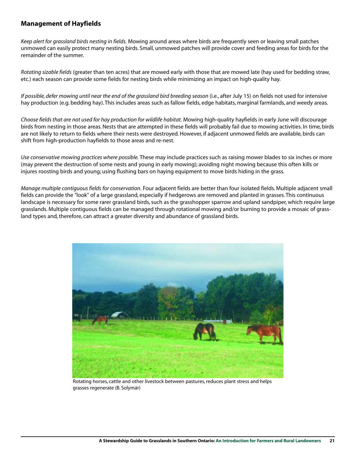## **Management of Hayfields**

*Keep alert for grassland birds nesting in fields.* Mowing around areas where birds are frequently seen or leaving small patches unmowed can easily protect many nesting birds. Small, unmowed patches will provide cover and feeding areas for birds for the remainder of the summer.

*Rotating sizable fields* (greater than ten acres) that are mowed early with those that are mowed late (hay used for bedding straw, etc.) each season can provide some fields for nesting birds while minimizing an impact on high-quality hay.

*If possible, defer mowing until near the end of the grassland bird breeding season* (i.e., after July 15) on fields not used for intensive hay production (e.g. bedding hay). This includes areas such as fallow fields, edge habitats, marginal farmlands, and weedy areas.

*Choose fields that are not used for hay production for wildlife habitat.* Mowing high-quality hayfields in early June will discourage birds from nesting in those areas. Nests that are attempted in these fields will probably fail due to mowing activities. In time, birds are not likely to return to fields where their nests were destroyed. However, if adjacent unmowed fields are available, birds can shift from high-production hayfields to those areas and re-nest.

*Use conservative mowing practices where possible.* These may include practices such as raising mower blades to six inches or more (may prevent the destruction of some nests and young in early mowing); avoiding night mowing because this often kills or injures roosting birds and young; using flushing bars on haying equipment to move birds hiding in the grass.

*Manage multiple contiguous fields for conservation.* Four adjacent fields are better than four isolated fields. Multiple adjacent small fields can provide the "look" of a large grassland, especially if hedgerows are removed and planted in grasses. This continuous landscape is necessary for some rarer grassland birds, such as the grasshopper sparrow and upland sandpiper, which require large grasslands. Multiple contiguous fields can be managed through rotational mowing and/or burning to provide a mosaic of grassland types and, therefore, can attract a greater diversity and abundance of grassland birds.



Rotating horses, cattle and other livestock between pastures, reduces plant stress and helps grasses regenerate (B. Solymár)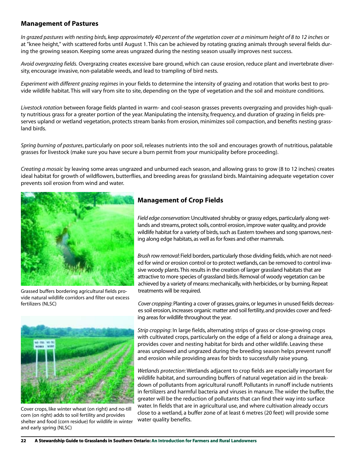## **Management of Pastures**

*In grazed pastures with nesting birds, keep approximately 40 percent of the vegetation cover at a minimum height of 8 to 12 inches* or at "knee height," with scattered forbs until August 1. This can be achieved by rotating grazing animals through several fields during the growing season. Keeping some areas ungrazed during the nesting season usually improves nest success.

*Avoid overgrazing fields.* Overgrazing creates excessive bare ground, which can cause erosion, reduce plant and invertebrate diversity, encourage invasive, non-palatable weeds, and lead to trampling of bird nests.

*Experiment with different grazing regimes* in your fields to determine the intensity of grazing and rotation that works best to provide wildlife habitat.This will vary from site to site, depending on the type of vegetation and the soil and moisture conditions.

*Livestock rotation* between forage fields planted in warm- and cool-season grasses prevents overgrazing and provides high-quality nutritious grass for a greater portion of the year. Manipulating the intensity, frequency, and duration of grazing in fields preserves upland or wetland vegetation, protects stream banks from erosion, minimizes soil compaction, and benefits nesting grassland birds.

*Spring burning of pastures*, particularly on poor soil, releases nutrients into the soil and encourages growth of nutritious, palatable grasses for livestock (make sure you have secure a burn permit from your municipality before proceeding).

*Creating a mosaic* by leaving some areas ungrazed and unburned each season, and allowing grass to grow (8 to 12 inches) creates ideal habitat for growth of wildflowers, butterflies, and breeding areas for grassland birds. Maintaining adequate vegetation cover prevents soil erosion from wind and water.



Grassed buffers bordering agricultural fields provide natural wildlife corridors and filter out excess fertilizers (NLSC)



Cover crops, like winter wheat (on right) and no-till corn (on right) adds to soil fertility and provides shelter and food (corn residue) for wildlife in winter and early spring (NLSC)

## **Management of Crop Fields**

*Field edge conservation*: Uncultivated shrubby or grassy edges, particularly along wetlands and streams, protect soils, control erosion, improve water quality, and provide wildlife habitat for a variety of birds, such as Eastern towhees and song sparrows, nesting along edge habitats, as well as for foxes and other mammals.

*Brush row removal*: Field borders, particularly those dividing fields, which are not needed for wind or erosion control or to protect wetlands, can be removed to control invasive woody plants.This results in the creation of larger grassland habitats that are attractive to more species of grassland birds. Removal of woody vegetation can be achieved by a variety of means: mechanically, with herbicides, or by burning. Repeat treatments will be required.

*Cover cropping*: Planting a cover of grasses, grains, or legumes in unused fields decreases soil erosion, increases organic matter and soil fertility, and provides cover and feeding areas for wildlife throughout the year.

*Strip cropping*: In large fields, alternating strips of grass or close-growing crops with cultivated crops, particularly on the edge of a field or along a drainage area, provides cover and nesting habitat for birds and other wildlife. Leaving these areas unplowed and ungrazed during the breeding season helps prevent runoff and erosion while providing areas for birds to successfully raise young.

*Wetlands protection*: Wetlands adjacent to crop fields are especially important for wildlife habitat, and surrounding buffers of natural vegetation aid in the breakdown of pollutants from agricultural runoff. Pollutants in runoff include nutrients in fertilizers and harmful bacteria and viruses in manure. The wider the buffer, the greater will be the reduction of pollutants that can find their way into surface water. In fields that are in agricultural use, and where cultivation already occurs close to a wetland, a buffer zone of at least 6 metres (20 feet) will provide some water quality benefits.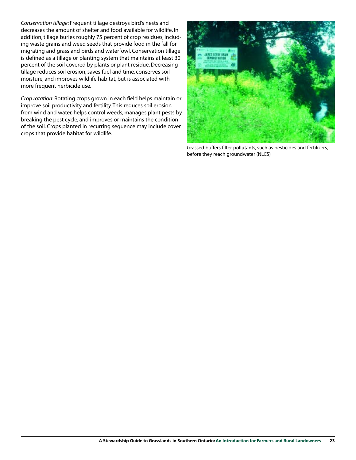*Conservation tillage*: Frequent tillage destroys bird's nests and decreases the amount of shelter and food available for wildlife. In addition, tillage buries roughly 75 percent of crop residues, including waste grains and weed seeds that provide food in the fall for migrating and grassland birds and waterfowl. Conservation tillage is defined as a tillage or planting system that maintains at least 30 percent of the soil covered by plants or plant residue. Decreasing tillage reduces soil erosion, saves fuel and time, conserves soil moisture, and improves wildlife habitat, but is associated with more frequent herbicide use.

*Crop rotation*: Rotating crops grown in each field helps maintain or improve soil productivity and fertility. This reduces soil erosion from wind and water, helps control weeds, manages plant pests by breaking the pest cycle, and improves or maintains the condition of the soil. Crops planted in recurring sequence may include cover crops that provide habitat for wildlife.



Grassed buffers filter pollutants, such as pesticides and fertilizers, before they reach groundwater (NLCS)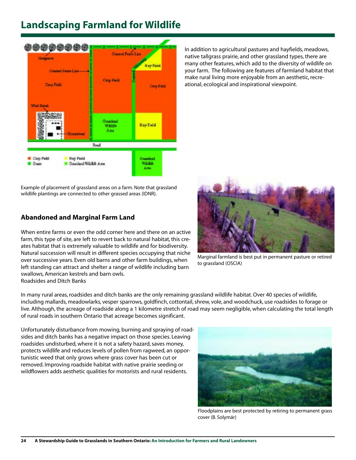## **Landscaping Farmland for Wildlife**



Example of placement of grassland areas on a farm. Note that grassland wildlife plantings are connected to other grassed areas (IDNR).

## **Abandoned and Marginal Farm Land**

When entire farms or even the odd corner here and there on an active farm, this type of site, are left to revert back to natural habitat, this creates habitat that is extremely valuable to wildlife and for biodiversity. Natural succession will result in different species occupying that niche over successive years. Even old barns and other farm buildings, when left standing can attract and shelter a range of wildlife including barn swallows, American kestrels and barn owls. Roadsides and Ditch Banks

In addition to agricultural pastures and hayfields, meadows, native tallgrass prairie, and other grassland types, there are many other features, which add to the diversity of wildlife on your farm. The following are features of farmland habitat that make rural living more enjoyable from an aesthetic, recreational, ecological and inspirational viewpoint.



Marginal farmland is best put in permanent pasture or retired to grassland (OSCIA)

In many rural areas, roadsides and ditch banks are the only remaining grassland wildlife habitat. Over 40 species of wildlife, including mallards, meadowlarks, vesper sparrows, goldfinch, cottontail, shrew, vole, and woodchuck, use roadsides to forage or live. Although, the acreage of roadside along a 1 kilometre stretch of road may seem negligible, when calculating the total length of rural roads in southern Ontario that acreage becomes significant.

Unfortunately disturbance from mowing, burning and spraying of roadsides and ditch banks has a negative impact on those species. Leaving roadsides undisturbed, where it is not a safety hazard, saves money, protects wildlife and reduces levels of pollen from ragweed, an opportunistic weed that only grows where grass cover has been cut or removed. Improving roadside habitat with native prairie seeding or wildflowers adds aesthetic qualities for motorists and rural residents.



Floodplains are best protected by retiring to permanent grass cover (B. Solymár)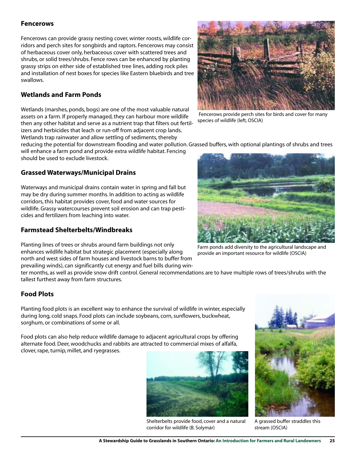## **Fencerows**

Fencerows can provide grassy nesting cover, winter roosts, wildlife corridors and perch sites for songbirds and raptors. Fencerows may consist of herbaceous cover only, herbaceous cover with scattered trees and shrubs, or solid trees/shrubs. Fence rows can be enhanced by planting grassy strips on either side of established tree lines, adding rock piles and installation of nest boxes for species like Eastern bluebirds and tree swallows.

## **Wetlands and Farm Ponds**

Wetlands (marshes, ponds, bogs) are one of the most valuable natural assets on a farm. If properly managed, they can harbour more wildlife then any other habitat and serve as a nutrient trap that filters out fertilizers and herbicides that leach or run-off from adjacent crop lands. Wetlands trap rainwater and allow settling of sediments, thereby



Fencerows provide perch sites for birds and cover for many species of wildlife (left, OSCIA)

reducing the potential for downstream flooding and water pollution. Grassed buffers, with optional plantings of shrubs and trees

will enhance a farm pond and provide extra wildlife habitat. Fencing should be used to exclude livestock.

## **Grassed Waterways/Municipal Drains**

Waterways and municipal drains contain water in spring and fall but may be dry during summer months. In addition to acting as wildlife corridors, this habitat provides cover, food and water sources for wildlife. Grassy watercourses prevent soil erosion and can trap pesticides and fertilizers from leaching into water.

## **Farmstead Shelterbelts/Windbreaks**

Planting lines of trees or shrubs around farm buildings not only enhances wildlife habitat but strategic placement (especially along north and west sides of farm houses and livestock barns to buffer from prevailing winds), can significantly cut energy and fuel bills during win-

ter months, as well as provide snow drift control. General recommendations are to have multiple rows of trees/shrubs with the tallest furthest away from farm structures.

## **Food Plots**

Planting food plots is an excellent way to enhance the survival of wildlife in winter, especially during long, cold snaps. Food plots can include soybeans, corn, sunflowers, buckwheat, sorghum, or combinations of some or all.

Food plots can also help reduce wildlife damage to adjacent agricultural crops by offering alternate food. Deer, woodchucks and rabbits are attracted to commercial mixes of alfalfa, clover, rape, turnip, millet, and ryegrasses.



Shelterbelts provide food, cover and a natural corridor for wildlife (B. Solymár)





A grassed buffer straddles this stream (OSCIA)



Farm ponds add diversity to the agricultural landscape and provide an important resource for wildlife (OSCIA)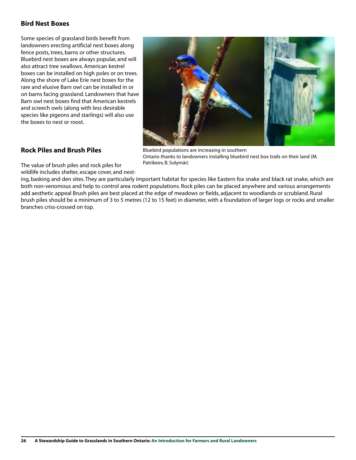## **Bird Nest Boxes**

Some species of grassland birds benefit from landowners erecting artificial nest boxes along fence posts, trees, barns or other structures. Bluebird nest boxes are always popular, and will also attract tree swallows. American kestrel boxes can be installed on high poles or on trees. Along the shore of Lake Erie nest boxes for the rare and elusive Barn owl can be installed in or on barns facing grassland. Landowners that have Barn owl nest boxes find that American kestrels and screech owls (along with less desirable species like pigeons and starlings) will also use the boxes to nest or roost.



## **Rock Piles and Brush Piles**

Bluebird populations are increasing in southern Ontario thanks to landowners installing bluebird nest box trails on their land (M. Patrikeev, B. Solymár)

The value of brush piles and rock piles for wildlife includes shelter, escape cover, and nest-

ing, basking and den sites. They are particularly important habitat for species like Eastern fox snake and black rat snake, which are both non-venomous and help to control area rodent populations. Rock piles can be placed anywhere and various arrangements add aesthetic appeal Brush piles are best placed at the edge of meadows or fields, adjacent to woodlands or scrubland. Rural brush piles should be a minimum of 3 to 5 metres (12 to 15 feet) in diameter, with a foundation of larger logs or rocks and smaller branches criss-crossed on top.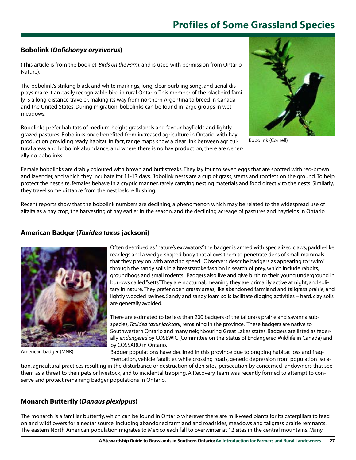## **Profiles of Some Grassland Species**

## **Bobolink (***Dolichonyx oryzivorus***)**

(This article is from the booklet, *Birds on the Farm*, and is used with permission from Ontario Nature).

The bobolink's striking black and white markings, long, clear burbling song, and aerial displays make it an easily recognizable bird in rural Ontario. This member of the blackbird family is a long-distance traveler, making its way from northern Argentina to breed in Canada and the United States. During migration, bobolinks can be found in large groups in wet meadows.

Bobolinks prefer habitats of medium-height grasslands and favour hayfields and lightly grazed pastures. Bobolinks once benefited from increased agriculture in Ontario, with hay production providing ready habitat. In fact, range maps show a clear link between agricultural areas and bobolink abundance, and where there is no hay production, there are generally no bobolinks.



Bobolink (Cornell)

Female bobolinks are drably coloured with brown and buff streaks. They lay four to seven eggs that are spotted with red-brown and lavender, and which they incubate for 11-13 days. Bobolink nests are a cup of grass, stems and rootlets on the ground. To help protect the nest site, females behave in a cryptic manner, rarely carrying nesting materials and food directly to the nests. Similarly, they travel some distance from the nest before flushing.

Recent reports show that the bobolink numbers are declining, a phenomenon which may be related to the widespread use of alfalfa as a hay crop, the harvesting of hay earlier in the season, and the declining acreage of pastures and hayfields in Ontario.

## **American Badger (***Taxidea taxus* **jacksoni)**



American badger (MNR)

Often described as "nature's excavators", the badger is armed with specialized claws, paddle-like rear legs and a wedge-shaped body that allows them to penetrate dens of small mammals that they prey on with amazing speed. Observers describe badgers as appearing to "swim" through the sandy soils in a breaststroke fashion in search of prey, which include rabbits, groundhogs and small rodents. Badgers also live and give birth to their young underground in burrows called "setts".They are nocturnal, meaning they are primarily active at night, and solitary in nature.They prefer open grassy areas, like abandoned farmland and tallgrass prairie, and lightly wooded ravines. Sandy and sandy loam soils facilitate digging activities – hard, clay soils are generally avoided.

There are estimated to be less than 200 badgers of the tallgrass prairie and savanna subspecies, *Taxidea taxus jacksoni*, remaining in the province. These badgers are native to Southwestern Ontario and many neighbouring Great Lakes states. Badgers are listed as federally e*ndangered* by COSEWIC (Committee on the Status of Endangered Wildlife in Canada) and by COSSARO in Ontario.

Badger populations have declined in this province due to ongoing habitat loss and fragmentation, vehicle fatalities while crossing roads, genetic depression from population isola-

tion, agricultural practices resulting in the disturbance or destruction of den sites, persecution by concerned landowners that see them as a threat to their pets or livestock, and to incidental trapping. A Recovery Team was recently formed to attempt to conserve and protect remaining badger populations in Ontario.

## **Monarch Butterfly (***Danaus plexippus***)**

The monarch is a familiar butterfly, which can be found in Ontario wherever there are milkweed plants for its caterpillars to feed on and wildflowers for a nectar source, including abandoned farmland and roadsides, meadows and tallgrass prairie remnants. The eastern North American population migrates to Mexico each fall to overwinter at 12 sites in the central mountains. Many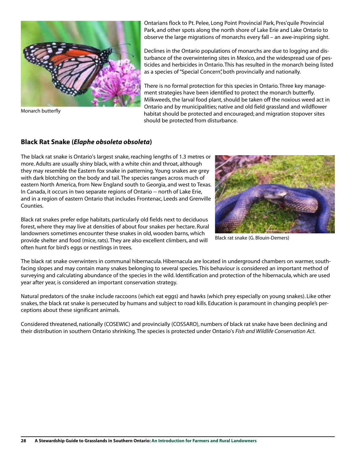

Monarch butterfly

Ontarians flock to Pt. Pelee, Long Point Provincial Park, Pres'quile Provincial Park, and other spots along the north shore of Lake Erie and Lake Ontario to observe the large migrations of monarchs every fall – an awe-inspiring sight.

Declines in the Ontario populations of monarchs are due to logging and disturbance of the overwintering sites in Mexico, and the widespread use of pesticides and herbicides in Ontario. This has resulted in the monarch being listed as a species of "Special Concern", both provincially and nationally.

There is no formal protection for this species in Ontario. Three key management strategies have been identified to protect the monarch butterfly. Milkweeds, the larval food plant, should be taken off the noxious weed act in Ontario and by municipalities; native and old field grassland and wildflower habitat should be protected and encouraged; and migration stopover sites should be protected from disturbance.

### **Black Rat Snake (***Elaphe obsoleta obsoleta***)**

The black rat snake is Ontario's largest snake, reaching lengths of 1.3 metres or more. Adults are usually shiny black, with a white chin and throat, although they may resemble the Eastern fox snake in patterning. Young snakes are grey with dark blotching on the body and tail. The species ranges across much of eastern North America, from New England south to Georgia, and west to Texas. In Canada, it occurs in two separate regions of Ontario -- north of Lake Erie, and in a region of eastern Ontario that includes Frontenac, Leeds and Grenville Counties.

Black rat snakes prefer edge habitats, particularly old fields next to deciduous forest, where they may live at densities of about four snakes per hectare. Rural landowners sometimes encounter these snakes in old, wooden barns, which provide shelter and food (mice, rats). They are also excellent climbers, and will often hunt for bird's eggs or nestlings in trees.



Black rat snake (G. Blouin-Demers)

The black rat snake overwinters in communal hibernacula. Hibernacula are located in underground chambers on warmer, southfacing slopes and may contain many snakes belonging to several species. This behaviour is considered an important method of surveying and calculating abundance of the species in the wild. Identification and protection of the hibernacula, which are used year after year, is considered an important conservation strategy.

Natural predators of the snake include raccoons (which eat eggs) and hawks (which prey especially on young snakes). Like other snakes, the black rat snake is persecuted by humans and subject to road kills. Education is paramount in changing people's perceptions about these significant animals.

Considered threatened, nationally (COSEWIC) and provincially (COSSARO), numbers of black rat snake have been declining and their distribution in southern Ontario shrinking. The species is protected under Ontario's *Fish and Wildlife Conservation Act*.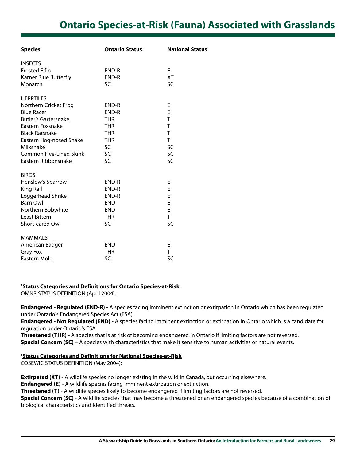## **Ontario Species-at-Risk (Fauna) Associated with Grasslands**

| <b>Species</b>                 | <b>Ontario Status<sup>1</sup></b> | <b>National Status<sup>2</sup></b> |
|--------------------------------|-----------------------------------|------------------------------------|
| <b>INSECTS</b>                 |                                   |                                    |
| <b>Frosted Elfin</b>           | END-R                             | E                                  |
| Karner Blue Butterfly          | END-R                             | ХT                                 |
| Monarch                        | <b>SC</b>                         | <b>SC</b>                          |
| <b>HERPTILES</b>               |                                   |                                    |
| Northern Cricket Frog          | END-R                             | Е                                  |
| <b>Blue Racer</b>              | END-R                             | F                                  |
| <b>Butler's Gartersnake</b>    | <b>THR</b>                        | T                                  |
| Eastern Foxsnake               | <b>THR</b>                        | T                                  |
| <b>Black Ratsnake</b>          | <b>THR</b>                        | T                                  |
| Eastern Hog-nosed Snake        | <b>THR</b>                        | T                                  |
| Milksnake                      | SC                                | SC                                 |
| <b>Common Five-Lined Skink</b> | SC                                | SC                                 |
| Eastern Ribbonsnake            | SC                                | SC                                 |
| <b>BIRDS</b>                   |                                   |                                    |
| Henslow's Sparrow              | END-R                             | E                                  |
| King Rail                      | END-R                             | E                                  |
| Loggerhead Shrike              | END-R                             | E                                  |
| <b>Barn Owl</b>                | <b>END</b>                        | E                                  |
| Northern Bobwhite              | <b>END</b>                        | E                                  |
| Least Bittern                  | <b>THR</b>                        | T.                                 |
| Short-eared Owl                | SC                                | SC                                 |
| <b>MAMMALS</b>                 |                                   |                                    |
| American Badger                | <b>END</b>                        | Е                                  |
| Gray Fox                       | <b>THR</b>                        | T.                                 |
| Eastern Mole                   | SC                                | SC                                 |
|                                |                                   |                                    |

### **1 Status Categories and Definitions for Ontario Species-at-Risk**

OMNR STATUS DEFINITION (April 2004):

**Endangered - Regulated (END-R) -** A species facing imminent extinction or extirpation in Ontario which has been regulated under Ontario's Endangered Species Act (ESA).

**Endangered - Not Regulated (END) -** A species facing imminent extinction or extirpation in Ontario which is a candidate for regulation under Ontario's ESA.

**Threatened (THR) -** A species that is at risk of becoming endangered in Ontario if limiting factors are not reversed. **Special Concern (SC)** – A species with characteristics that make it sensitive to human activities or natural events.

### **2 Status Categories and Definitions for National Species-at-Risk**

COSEWIC STATUS DEFINITION (May 2004):

**Extirpated (XT)** - A wildlife species no longer existing in the wild in Canada, but occurring elsewhere.

**Endangered (E)** - A wildlife species facing imminent extirpation or extinction.

**Threatened (T)** - A wildlife species likely to become endangered if limiting factors are not reversed.

**Special Concern (SC)** - A wildlife species that may become a threatened or an endangered species because of a combination of biological characteristics and identified threats.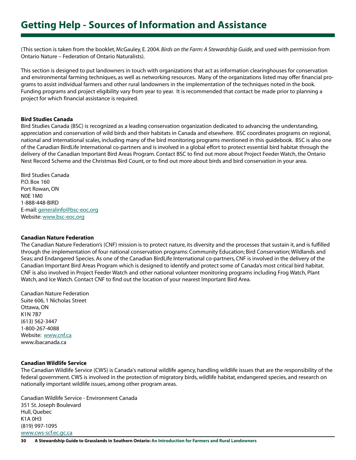(This section is taken from the booklet, McGauley, E. 2004. *Birds on the Farm: A Stewardship Guide*, and used with permission from Ontario Nature – Federation of Ontario Naturalists).

This section is designed to put landowners in touch with organizations that act as information clearinghouses for conservation and environmental farming techniques, as well as networking resources. Many of the organizations listed may offer financial programs to assist individual farmers and other rural landowners in the implementation of the techniques noted in the book. Funding programs and project eligibility vary from year to year. It is recommended that contact be made prior to planning a project for which financial assistance is required.

### **Bird Studies Canada**

Bird Studies Canada (BSC) is recognized as a leading conservation organization dedicated to advancing the understanding, appreciation and conservation of wild birds and their habitats in Canada and elsewhere. BSC coordinates programs on regional, national and international scales, including many of the bird monitoring programs mentioned in this guidebook. BSC is also one of the Canadian BirdLife International co-partners and is involved in a global effort to protect essential bird habitat through the delivery of the Canadian Important Bird Areas Program. Contact BSC to find out more about Project Feeder Watch, the Ontario Nest Record Scheme and the Christmas Bird Count, or to find out more about birds and bird conservation in your area.

Bird Studies Canada P.O. Box 160 Port Rowan, ON N0E 1M0 1-888-448-BIRD E-mail: generalinfo@bsc-eoc.org Website: www.bsc-eoc.org

### **Canadian Nature Federation**

The Canadian Nature Federation's (CNF) mission is to protect nature, its diversity and the processes that sustain it, and is fulfilled through the implementation of four national conservation programs: Community Education; Bird Conservation; Wildlands and Seas; and Endangered Species. As one of the Canadian BirdLife International co-partners, CNF is involved in the delivery of the Canadian Important Bird Areas Program which is designed to identify and protect some of Canada's most critical bird habitat. CNF is also involved in Project Feeder Watch and other national volunteer monitoring programs including Frog Watch, Plant Watch, and Ice Watch. Contact CNF to find out the location of your nearest Important Bird Area.

Canadian Nature Federation Suite 606, 1 Nicholas Street Ottawa, ON K1N 7B7 (613) 562-3447 1-800-267-4088 Website: www.cnf.ca www.ibacanada.ca

### **Canadian Wildlife Service**

The Canadian Wildlife Service (CWS) is Canada's national wildlife agency, handling wildlife issues that are the responsibility of the federal government. CWS is involved in the protection of migratory birds, wildlife habitat, endangered species, and research on nationally important wildlife issues, among other program areas.

Canadian Wildlife Service - Environment Canada 351 St. Joseph Boulevard Hull, Quebec K1A 0H3 (819) 997-1095 www.cws-scf.ec.gc.ca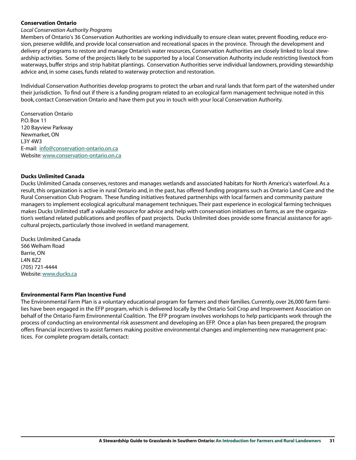### **Conservation Ontario**

#### *Local Conservation Authority Programs*

Members of Ontario's 36 Conservation Authorities are working individually to ensure clean water, prevent flooding, reduce erosion, preserve wildlife, and provide local conservation and recreational spaces in the province. Through the development and delivery of programs to restore and manage Ontario's water resources, Conservation Authorities are closely linked to local stewardship activities. Some of the projects likely to be supported by a local Conservation Authority include restricting livestock from waterways, buffer strips and strip habitat plantings. Conservation Authorities serve individual landowners, providing stewardship advice and, in some cases, funds related to waterway protection and restoration.

Individual Conservation Authorities develop programs to protect the urban and rural lands that form part of the watershed under their jurisdiction. To find out if there is a funding program related to an ecological farm management technique noted in this book, contact Conservation Ontario and have them put you in touch with your local Conservation Authority.

Conservation Ontario P.O. Box 11 120 Bayview Parkway Newmarket, ON L3Y 4W3 E-mail: info@conservation-ontario.on.ca Website: www.conservation-ontario.on.ca

#### **Ducks Unlimited Canada**

Ducks Unlimited Canada conserves, restores and manages wetlands and associated habitats for North America's waterfowl. As a result, this organization is active in rural Ontario and, in the past, has offered funding programs such as Ontario Land Care and the Rural Conservation Club Program. These funding initiatives featured partnerships with local farmers and community pasture managers to implement ecological agricultural management techniques. Their past experience in ecological farming techniques makes Ducks Unlimited staff a valuable resource for advice and help with conservation initiatives on farms, as are the organization's wetland related publications and profiles of past projects. Ducks Unlimited does provide some financial assistance for agricultural projects, particularly those involved in wetland management.

Ducks Unlimited Canada 566 Welham Road Barrie,ON L4N 8Z2 (705) 721-4444 Website: www.ducks.ca

#### **Environmental Farm Plan Incentive Fund**

The Environmental Farm Plan is a voluntary educational program for farmers and their families. Currently, over 26,000 farm families have been engaged in the EFP program, which is delivered locally by the Ontario Soil Crop and Improvement Association on behalf of the Ontario Farm Environmental Coalition. The EFP program involves workshops to help participants work through the process of conducting an environmental risk assessment and developing an EFP. Once a plan has been prepared, the program offers financial incentives to assist farmers making positive environmental changes and implementing new management practices. For complete program details, contact: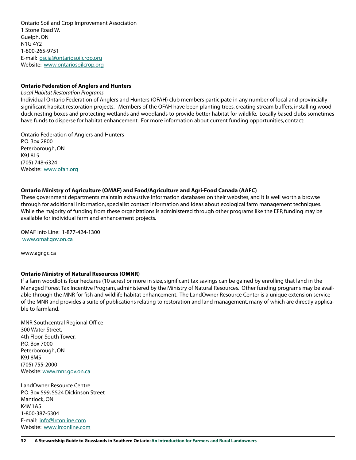Ontario Soil and Crop Improvement Association 1 Stone Road W. Guelph, ON N1G 4Y2 1-800-265-9751 E-mail: oscia@ontariosoilcrop.org Website: www.ontariosoilcrop.org

#### **Ontario Federation of Anglers and Hunters**

*Local Habitat Restoration Programs*

Individual Ontario Federation of Anglers and Hunters (OFAH) club members participate in any number of local and provincially significant habitat restoration projects. Members of the OFAH have been planting trees, creating stream buffers, installing wood duck nesting boxes and protecting wetlands and woodlands to provide better habitat for wildlife. Locally based clubs sometimes have funds to disperse for habitat enhancement. For more information about current funding opportunities, contact:

Ontario Federation of Anglers and Hunters P.O. Box 2800 Peterborough, ON K9J 8L5 (705) 748-6324 Website: www.ofah.org

#### **Ontario Ministry of Agriculture (OMAF) and Food/Agriculture and Agri-Food Canada (AAFC)**

These government departments maintain exhaustive information databases on their websites, and it is well worth a browse through for additional information, specialist contact information and ideas about ecological farm management techniques. While the majority of funding from these organizations is administered through other programs like the EFP, funding may be available for individual farmland enhancement projects.

OMAF Info Line: 1-877-424-1300 www.omaf.gov.on.ca

www.agr.gc.ca

#### **Ontario Ministry of Natural Resources (OMNR)**

If a farm woodlot is four hectares (10 acres) or more in size, significant tax savings can be gained by enrolling that land in the Managed Forest Tax Incentive Program, administered by the Ministry of Natural Resources. Other funding programs may be available through the MNR for fish and wildlife habitat enhancement. The LandOwner Resource Center is a unique extension service of the MNR and provides a suite of publications relating to restoration and land management, many of which are directly applicable to farmland.

MNR Southcentral Regional Office 300 Water Street, 4th Floor, South Tower, P.O. Box 7000 Peterborough, ON K9J 8M5 (705) 755-2000 Website: www.mnr.gov.on.ca

LandOwner Resource Centre P.O. Box 599, 5524 Dickinson Street Mantiock, ON K4M1A5 1-800-387-5304 E-mail: info@lrconline.com Website: www.lrconline.com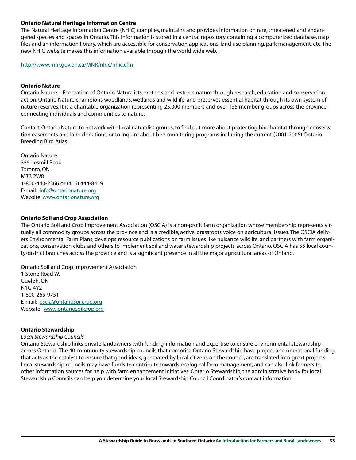### **Ontario Natural Heritage Information Centre**

The Natural Heritage Information Centre (NHIC) compiles, maintains and provides information on rare, threatened and endangered species and spaces in Ontario. This information is stored in a central repository containing a computerized database, map files and an information library, which are accessible for conservation applications, land use planning, park management, etc. The new NHIC website makes this information available through the world wide web.

http://www.mnr.gov.on.ca/MNR/nhic/nhic.cfm

### **Ontario Nature**

Ontario Nature – Federation of Ontario Naturalists protects and restores nature through research, education and conservation action. Ontario Nature champions woodlands, wetlands and wildlife, and preserves essential habitat through its own system of nature reserves. It is a charitable organization representing 25,000 members and over 135 member groups across the province, connecting individuals and communities to nature.

Contact Ontario Nature to network with local naturalist groups, to find out more about protecting bird habitat through conservation easements and land donations, or to inquire about bird monitoring programs including the current (2001-2005) Ontario Breeding Bird Atlas.

Ontario Nature 355 Lesmill Road Toronto, ON M3B 2W8 1-800-440-2366 or (416) 444-8419 E-mail: info@ontarionature.org Website: www.ontarionature.org

### **Ontario Soil and Crop Association**

The Ontario Soil and Crop Improvement Association (OSCIA) is a non-profit farm organization whose membership represents virtually all commodity groups across the province and is a credible, active, grassroots voice on agricultural issues. The OSCIA delivers Environmental Farm Plans, develops resource publications on farm issues like nuisance wildlife, and partners with farm organizations, conservation clubs and others to implement soil and water stewardship projects across Ontario. OSCIA has 55 local county/district branches across the province and is a significant presence in all the major agricultural areas of Ontario.

Ontario Soil and Crop Improvement Association 1 Stone Road W. Guelph, ON N1G 4Y2 1-800-265-9751 E-mail: oscia@ontariosoilcrop.org Website: www.ontariosoilcrop.org

### **Ontario Stewardship**

### *Local Stewardship Councils*

Ontario Stewardship links private landowners with funding, information and expertise to ensure environmental stewardship across Ontario. The 40 community stewardship councils that comprise Ontario Stewardship have project and operational funding that acts as the catalyst to ensure that good ideas, generated by local citizens on the council, are translated into great projects. Local stewardship councils may have funds to contribute towards ecological farm management, and can also link farmers to other information sources for help with farm enhancement initiatives. Ontario Stewardship, the administrative body for local Stewardship Councils can help you determine your local Stewardship Council Coordinator's contact information.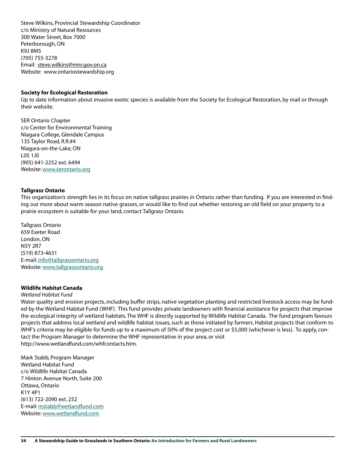Steve Wilkins, Provincial Stewardship Coordinator c/o Ministry of Natural Resources 300 Water Street, Box 7000 Peterborough, ON K9J 8M5 (705) 755-3278 Email: steve.wilkins@mnr.gov.on.ca Website: www.ontariostewardship.org

#### **Society for Ecological Restoration**

Up to date information about invasive exotic species is available from the Society for Ecological Restoration, by mail or through their website.

SER Ontario Chapter c/o Center for Environmental Training Niagara College, Glendale Campus 135 Taylor Road, R.R.#4 Niagara-on-the-Lake, ON L0S 1J0 (905) 641-2252 ext. 6494 Website: www.serontario.org

#### **Tallgrass Ontario**

This organization's strength lies in its focus on native tallgrass prairies in Ontario rather than funding. If you are interested in finding out more about warm season native grasses, or would like to find out whether restoring an old field on your property to a prairie ecosystem is suitable for your land, contact Tallgrass Ontario.

Tallgrass Ontario 659 Exeter Road London, ON N5Y 2R7 (519) 873-4631 E-mail: info@tallgrassontario.org Website: www.tallgrassontario.org

### **Wildlife Habitat Canada**

#### *Wetland Habitat Fund*

Water quality and erosion projects, including buffer strips, native vegetation planting and restricted livestock access may be funded by the Wetland Habitat Fund (WHF). This fund provides private landowners with financial assistance for projects that improve the ecological integrity of wetland habitats. The WHF is directly supported by Wildlife Habitat Canada. The fund program favours projects that address local wetland and wildlife habitat issues, such as those initiated by farmers. Habitat projects that conform to WHF's criteria may be eligible for funds up to a maximum of 50% of the project cost or \$5,000 (whichever is less). To apply, contact the Program Manager to determine the WHF representative in your area, or visit http://www.wetlandfund.com/whfcontacts.htm.

Mark Stabb, Program Manager Wetland Habitat Fund c/o Wildlife Habitat Canada 7 Hinton Avenue North, Suite 200 Ottawa,Ontario K1Y 4P1 (613) 722-2090 ext. 252 E-mail: mstabb@wetlandfund.com Website: www.wetlandfund.com